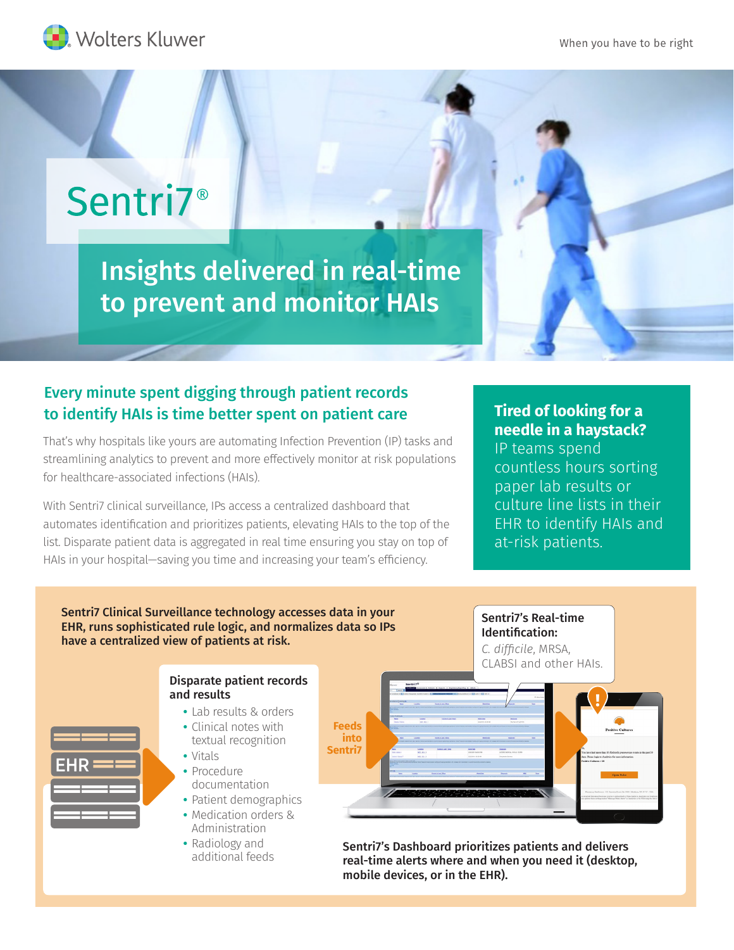When you have to be right



# Sentri7<sup>®</sup>

Insights delivered in real-time to prevent and monitor HAIs

## Every minute spent digging through patient records to identify HAIs is time better spent on patient care

That's why hospitals like yours are automating Infection Prevention (IP) tasks and streamlining analytics to prevent and more effectively monitor at risk populations for healthcare-associated infections (HAIs).

With Sentri7 clinical surveillance, IPs access a centralized dashboard that automates identification and prioritizes patients, elevating HAIs to the top of the list. Disparate patient data is aggregated in real time ensuring you stay on top of HAIs in your hospital—saving you time and increasing your team's efficiency.

## **Tired of looking for a needle in a haystack?**

IP teams spend countless hours sorting paper lab results or culture line lists in their EHR to identify HAIs and at-risk patients.

Sentri7 Clinical Surveillance technology accesses data in your EHR, runs sophisticated rule logic, and normalizes data so IPs have a centralized view of patients at risk.





- **•** Lab results & orders
- **•** Clinical notes with textual recognition
- **•** Vitals
- **•** Procedure documentation
- **•** Patient demographics
- **•** Medication orders & Administration
- **•** Radiology and additional feeds



Sentri7's Real-time Identification:

Sentri7's Dashboard prioritizes patients and delivers real-time alerts where and when you need it (desktop, mobile devices, or in the EHR).